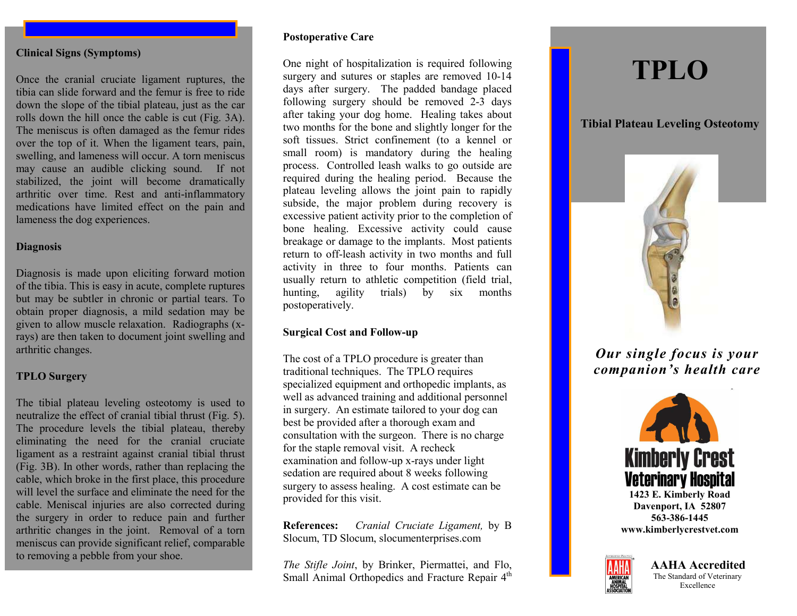#### **Clinical Signs (Symptoms)**

Once the cranial cruciate ligament ruptures, the tibia can slide forward and the femur is free to ride down the slope of the tibial plateau, just as the car rolls down the hill once the cable is cut (Fig. 3A). The meniscus is often damaged as the femur rides over the top of it. When the ligament tears, pain, swelling, and lameness will occur. A torn meniscus may cause an audible clicking sound. If not stabilized, the joint will become dramatically arthritic over time. Rest and anti-inflammatory medications have limited effect on the pain and lameness the dog experiences.

#### **Diagnosis**

Diagnosis is made upon eliciting forward motion of the tibia. This is easy in acute, complete ruptures but may be subtler in chronic or partial tears. To obtain proper diagnosis, a mild sedation may be given to allow muscle relaxation. Radiographs (xrays) are then taken to document joint swelling and arthritic changes.

## **TPLO Surgery**

The tibial plateau leveling osteotomy is used to neutralize the effect of cranial tibial thrust (Fig. 5). The procedure levels the tibial plateau, thereby eliminating the need for the cranial cruciate ligament as a restraint against cranial tibial thrust (Fig. 3B). In other words, rather than replacing the cable, which broke in the first place, this procedure will level the surface and eliminate the need for the cable. Meniscal injuries are also corrected during the surgery in order to reduce pain and further arthritic changes in the joint. Removal of a torn meniscus can provide significant relief, comparable to removing a pebble from your shoe.

## **Postoperative Care**

One night of hospitalization is required following surgery and sutures or staples are removed 10-14 days after surgery. The padded bandage placed following surgery should be removed 2-3 days after taking your dog home. Healing takes about two months for the bone and slightly longer for the soft tissues. Strict confinement (to a kennel or small room) is mandatory during the healing process. Controlled leash walks to go outside are required during the healing period. Because the plateau leveling allows the joint pain to rapidly subside, the major problem during recovery is excessive patient activity prior to the completion of bone healing. Excessive activity could cause breakage or damage to the implants. Most patients return to off-leash activity in two months and full activity in three to four months. Patients can usually return to athletic competition (field trial, hunting, agility trials) by six months postoperatively.

## **Surgical Cost and Follow-up**

The cost of a TPLO procedure is greater than traditional techniques. The TPLO requires specialized equipment and orthopedic implants, as well as advanced training and additional personnel in surgery. An estimate tailored to your dog can best be provided after a thorough exam and consultation with the surgeon. There is no charge for the staple removal visit. A recheck examination and follow-up x-rays under light sedation are required about 8 weeks following surgery to assess healing. A cost estimate can be provided for this visit.

**References:** *Cranial Cruciate Ligament,* by B Slocum, TD Slocum, slocumenterprises.com

*The Stifle Joint*, by Brinker, Piermattei, and Flo, Small Animal Orthopedics and Fracture Repair 4<sup>th</sup>

# **TPLO**

**Tibial Plateau Leveling Osteotomy**



*Our single focus is your companion's health care*



**www.kimberlycrestvet.com**